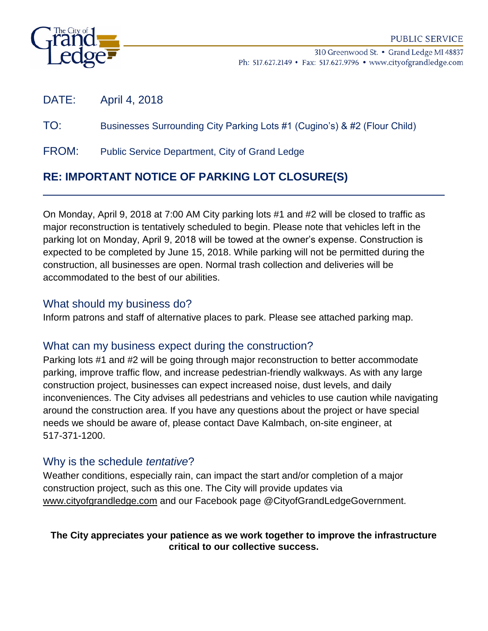

310 Greenwood St. • Grand Ledge MI 48837 Ph: 517.627.2149 • Fax: 517.627.9796 • www.cityofgrandledge.com

DATE: April 4, 2018

## TO: Businesses Surrounding City Parking Lots #1 (Cugino's) & #2 (Flour Child)

FROM: Public Service Department, City of Grand Ledge

# **RE: IMPORTANT NOTICE OF PARKING LOT CLOSURE(S)**

On Monday, April 9, 2018 at 7:00 AM City parking lots #1 and #2 will be closed to traffic as major reconstruction is tentatively scheduled to begin. Please note that vehicles left in the parking lot on Monday, April 9, 2018 will be towed at the owner's expense. Construction is expected to be completed by June 15, 2018. While parking will not be permitted during the construction, all businesses are open. Normal trash collection and deliveries will be accommodated to the best of our abilities.

## What should my business do?

Inform patrons and staff of alternative places to park. Please see attached parking map.

## What can my business expect during the construction?

Parking lots #1 and #2 will be going through major reconstruction to better accommodate parking, improve traffic flow, and increase pedestrian-friendly walkways. As with any large construction project, businesses can expect increased noise, dust levels, and daily inconveniences. The City advises all pedestrians and vehicles to use caution while navigating around the construction area. If you have any questions about the project or have special needs we should be aware of, please contact Dave Kalmbach, on-site engineer, at 517-371-1200.

## Why is the schedule *tentative*?

Weather conditions, especially rain, can impact the start and/or completion of a major construction project, such as this one. The City will provide updates via [www.cityofgrandledge.com](http://www.cityofgrandledge.com/) and our Facebook page @CityofGrandLedgeGovernment.

### **The City appreciates your patience as we work together to improve the infrastructure critical to our collective success.**